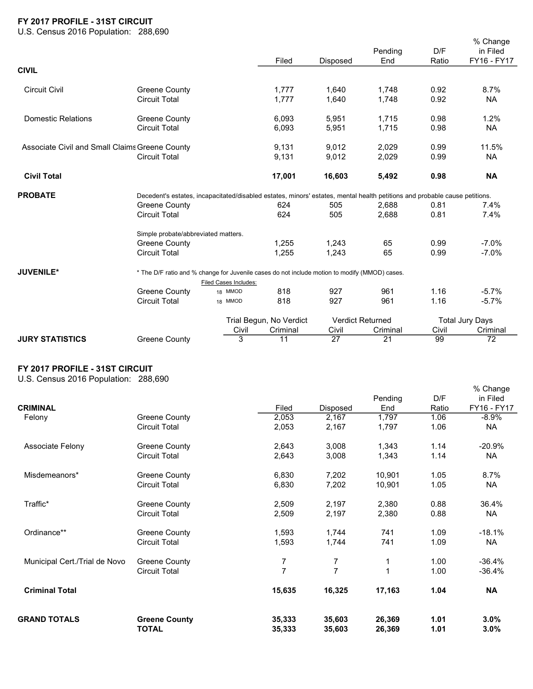## FY 2017 PROFILE - 31ST CIRCUIT

U.S. Census 2016 Population: 288,690

|                                                |                                                                                                                            |                       | Filed                   | <b>Disposed</b> | Pending<br>End          | D/F<br>Ratio | % Change<br>in Filed<br>FY16 - FY17 |  |  |  |
|------------------------------------------------|----------------------------------------------------------------------------------------------------------------------------|-----------------------|-------------------------|-----------------|-------------------------|--------------|-------------------------------------|--|--|--|
| <b>CIVIL</b>                                   |                                                                                                                            |                       |                         |                 |                         |              |                                     |  |  |  |
| <b>Circuit Civil</b>                           | <b>Greene County</b>                                                                                                       |                       | 1,777                   | 1,640           | 1,748                   | 0.92         | 8.7%                                |  |  |  |
|                                                | <b>Circuit Total</b>                                                                                                       |                       | 1.777                   | 1,640           | 1,748                   | 0.92         | <b>NA</b>                           |  |  |  |
| <b>Domestic Relations</b>                      | <b>Greene County</b>                                                                                                       |                       | 6,093                   | 5,951           | 1,715                   | 0.98         | 1.2%                                |  |  |  |
|                                                | <b>Circuit Total</b>                                                                                                       |                       | 6,093                   | 5,951           | 1,715                   | 0.98         | <b>NA</b>                           |  |  |  |
| Associate Civil and Small Claims Greene County |                                                                                                                            |                       | 9,131                   | 9,012           | 2,029                   | 0.99         | 11.5%                               |  |  |  |
|                                                | <b>Circuit Total</b>                                                                                                       |                       | 9,131                   | 9,012           | 2,029                   | 0.99         | <b>NA</b>                           |  |  |  |
| <b>Civil Total</b>                             |                                                                                                                            |                       | 17,001                  | 16,603          | 5,492                   | 0.98         | <b>NA</b>                           |  |  |  |
| <b>PROBATE</b>                                 | Decedent's estates, incapacitated/disabled estates, minors' estates, mental health petitions and probable cause petitions. |                       |                         |                 |                         |              |                                     |  |  |  |
|                                                | Greene County                                                                                                              |                       | 624                     | 505             | 2,688                   | 0.81         | 7.4%                                |  |  |  |
|                                                | <b>Circuit Total</b>                                                                                                       |                       | 624                     | 505             | 2,688                   | 0.81         | 7.4%                                |  |  |  |
|                                                | Simple probate/abbreviated matters.                                                                                        |                       |                         |                 |                         |              |                                     |  |  |  |
|                                                | Greene County                                                                                                              |                       | 1,255                   | 1,243           | 65                      | 0.99         | $-7.0%$                             |  |  |  |
|                                                | <b>Circuit Total</b>                                                                                                       |                       | 1,255                   | 1,243           | 65                      | 0.99         | $-7.0%$                             |  |  |  |
| <b>JUVENILE*</b>                               | * The D/F ratio and % change for Juvenile cases do not include motion to modify (MMOD) cases.                              |                       |                         |                 |                         |              |                                     |  |  |  |
|                                                |                                                                                                                            | Filed Cases Includes: |                         |                 |                         |              |                                     |  |  |  |
|                                                | Greene County                                                                                                              | 18 MMOD               | 818                     | 927             | 961                     | 1.16         | $-5.7%$                             |  |  |  |
|                                                | <b>Circuit Total</b>                                                                                                       | 18 MMOD               | 818                     | 927             | 961                     | 1.16         | $-5.7%$                             |  |  |  |
|                                                |                                                                                                                            |                       | Trial Begun, No Verdict |                 | <b>Verdict Returned</b> |              | <b>Total Jury Days</b>              |  |  |  |
|                                                |                                                                                                                            | Civil                 | Criminal                | Civil           | Criminal                | Civil        | Criminal                            |  |  |  |
| <b>JURY STATISTICS</b>                         | <b>Greene County</b>                                                                                                       | 3                     | 11                      | 27              | 21                      | 99           | 72                                  |  |  |  |

## FY 2017 PROFILE - 31ST CIRCUIT

U.S. Census 2016 Population: 288,690

| <b>CRIMINAL</b>               |                                      | Filed          | Disposed       | Pending<br>End   | D/F<br>Ratio | in Filed<br>FY16 - FY17 |
|-------------------------------|--------------------------------------|----------------|----------------|------------------|--------------|-------------------------|
| Felony                        | Greene County                        | 2,053          | 2,167          | 1,797            | 1.06         | $-8.9\%$                |
|                               | <b>Circuit Total</b>                 | 2,053          | 2,167          | 1,797            | 1.06         | <b>NA</b>               |
| Associate Felony              | <b>Greene County</b>                 | 2,643          | 3,008          | 1,343            | 1.14         | $-20.9%$                |
|                               | <b>Circuit Total</b>                 | 2,643          | 3,008          | 1,343            | 1.14         | <b>NA</b>               |
| Misdemeanors*                 | Greene County                        | 6,830          | 7,202          | 10,901           | 1.05         | 8.7%                    |
|                               | <b>Circuit Total</b>                 | 6,830          | 7,202          | 10,901           | 1.05         | <b>NA</b>               |
| Traffic*                      | <b>Greene County</b>                 | 2,509          | 2,197          | 2,380            | 0.88         | 36.4%                   |
|                               | <b>Circuit Total</b>                 | 2,509          | 2,197          | 2,380            | 0.88         | <b>NA</b>               |
| Ordinance**                   | <b>Greene County</b>                 | 1,593          | 1,744          | 741              | 1.09         | $-18.1%$                |
|                               | <b>Circuit Total</b>                 | 1,593          | 1,744          | 741              | 1.09         | NA                      |
| Municipal Cert./Trial de Novo | Greene County                        | 7              | 7              |                  | 1.00         | $-36.4%$                |
|                               | <b>Circuit Total</b>                 | $\overline{7}$ | $\overline{7}$ |                  | 1.00         | $-36.4%$                |
| <b>Criminal Total</b>         |                                      | 15,635         | 16,325         | 17,163           | 1.04         | <b>NA</b>               |
| <b>GRAND TOTALS</b>           | <b>Greene County</b><br><b>TOTAL</b> | 35,333         | 35,603         | 26,369<br>26,369 | 1.01         | $3.0\%$                 |